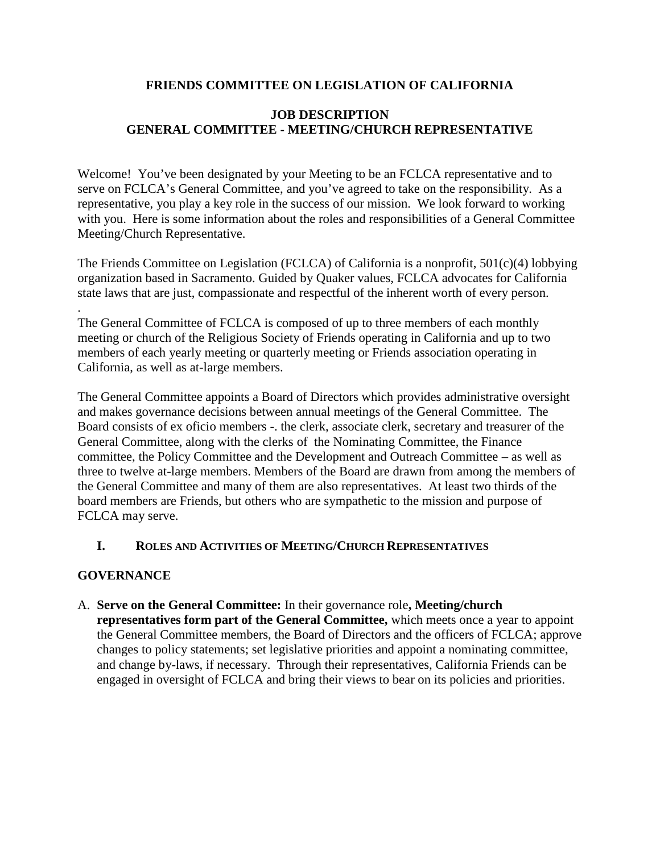## **FRIENDS COMMITTEE ON LEGISLATION OF CALIFORNIA**

## **JOB DESCRIPTION GENERAL COMMITTEE - MEETING/CHURCH REPRESENTATIVE**

Welcome! You've been designated by your Meeting to be an FCLCA representative and to serve on FCLCA's General Committee, and you've agreed to take on the responsibility. As a representative, you play a key role in the success of our mission. We look forward to working with you. Here is some information about the roles and responsibilities of a General Committee Meeting/Church Representative.

The Friends Committee on Legislation (FCLCA) of California is a nonprofit, 501(c)(4) lobbying organization based in Sacramento. Guided by Quaker values, FCLCA advocates for California state laws that are just, compassionate and respectful of the inherent worth of every person.

.The General Committee of FCLCA is composed of up to three members of each monthly meeting or church of the Religious Society of Friends operating in California and up to two members of each yearly meeting or quarterly meeting or Friends association operating in California, as well as at-large members.

The General Committee appoints a Board of Directors which provides administrative oversight and makes governance decisions between annual meetings of the General Committee. The Board consists of ex oficio members -. the clerk, associate clerk, secretary and treasurer of the General Committee, along with the clerks of the Nominating Committee, the Finance committee, the Policy Committee and the Development and Outreach Committee – as well as three to twelve at-large members. Members of the Board are drawn from among the members of the General Committee and many of them are also representatives. At least two thirds of the board members are Friends, but others who are sympathetic to the mission and purpose of FCLCA may serve.

### **I. ROLES AND ACTIVITIES OF MEETING/CHURCH REPRESENTATIVES**

### **GOVERNANCE**

A. **Serve on the General Committee:** In their governance role**, Meeting/church representatives form part of the General Committee,** which meets once a year to appoint the General Committee members, the Board of Directors and the officers of FCLCA; approve changes to policy statements; set legislative priorities and appoint a nominating committee, and change by-laws, if necessary. Through their representatives, California Friends can be engaged in oversight of FCLCA and bring their views to bear on its policies and priorities.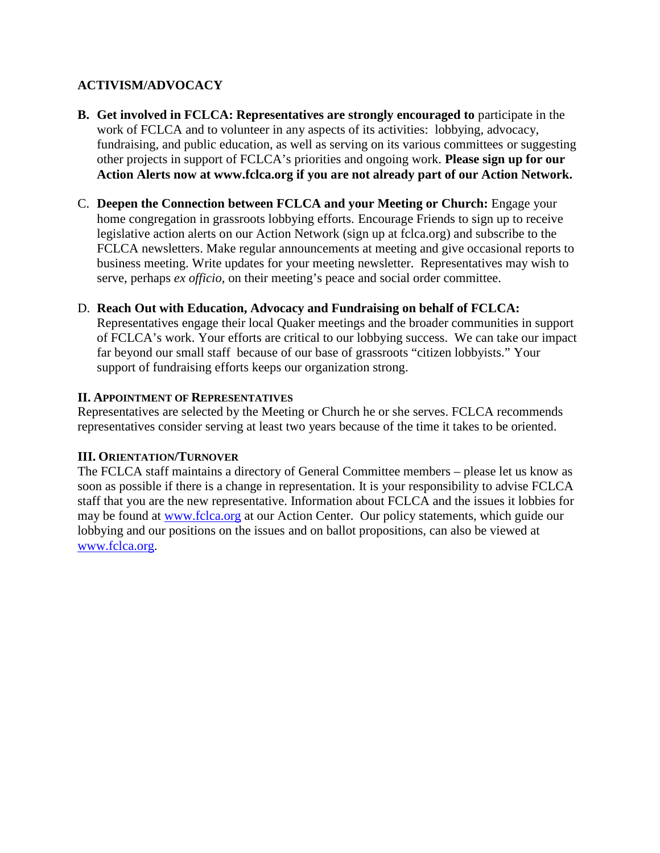# **ACTIVISM/ADVOCACY**

- **B. Get involved in FCLCA: Representatives are strongly encouraged to** participate in the work of FCLCA and to volunteer in any aspects of its activities: lobbying, advocacy, fundraising, and public education, as well as serving on its various committees or suggesting other projects in support of FCLCA's priorities and ongoing work. **Please sign up for our Action Alerts now at www.fclca.org if you are not already part of our Action Network.**
- C. **Deepen the Connection between FCLCA and your Meeting or Church:** Engage your home congregation in grassroots lobbying efforts. Encourage Friends to sign up to receive legislative action alerts on our Action Network (sign up at fclca.org) and subscribe to the FCLCA newsletters. Make regular announcements at meeting and give occasional reports to business meeting. Write updates for your meeting newsletter. Representatives may wish to serve, perhaps *ex officio*, on their meeting's peace and social order committee.

### D. **Reach Out with Education, Advocacy and Fundraising on behalf of FCLCA:**

Representatives engage their local Quaker meetings and the broader communities in support of FCLCA's work. Your efforts are critical to our lobbying success. We can take our impact far beyond our small staff because of our base of grassroots "citizen lobbyists." Your support of fundraising efforts keeps our organization strong.

### **II. APPOINTMENT OF REPRESENTATIVES**

Representatives are selected by the Meeting or Church he or she serves. FCLCA recommends representatives consider serving at least two years because of the time it takes to be oriented.

### **III. ORIENTATION/TURNOVER**

The FCLCA staff maintains a directory of General Committee members – please let us know as soon as possible if there is a change in representation. It is your responsibility to advise FCLCA staff that you are the new representative. Information about FCLCA and the issues it lobbies for may be found at www.fclca.org at our Action Center. Our policy statements, which guide our lobbying and our positions on the issues and on ballot propositions, can also be viewed at www.fclca.org.